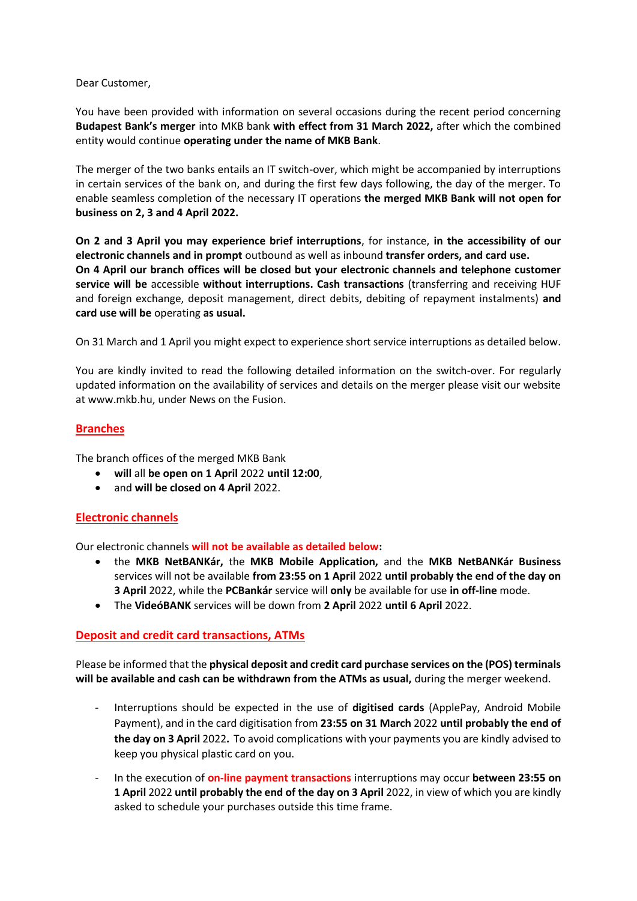#### Dear Customer,

You have been provided with information on several occasions during the recent period concerning **Budapest Bank's merger** into MKB bank **with effect from 31 March 2022,** after which the combined entity would continue **operating under the name of MKB Bank**.

The merger of the two banks entails an IT switch-over, which might be accompanied by interruptions in certain services of the bank on, and during the first few days following, the day of the merger. To enable seamless completion of the necessary IT operations **the merged MKB Bank will not open for business on 2, 3 and 4 April 2022.** 

**On 2 and 3 April you may experience brief interruptions**, for instance, **in the accessibility of our electronic channels and in prompt** outbound as well as inbound **transfer orders, and card use. On 4 April our branch offices will be closed but your electronic channels and telephone customer service will be** accessible **without interruptions. Cash transactions** (transferring and receiving HUF and foreign exchange, deposit management, direct debits, debiting of repayment instalments) **and card use will be** operating **as usual.**

On 31 March and 1 April you might expect to experience short service interruptions as detailed below.

You are kindly invited to read the following detailed information on the switch-over. For regularly updated information on the availability of services and details on the merger please visit our website at www.mkb.hu, under News on the Fusion.

## **Branches**

The branch offices of the merged MKB Bank

- **will** all **be open on 1 April** 2022 **until 12:00**,
- and **will be closed on 4 April** 2022.

# **Electronic channels**

Our electronic channels **will not be available as detailed below:**

- the **MKB NetBANKár,** the **MKB Mobile Application,** and the **MKB NetBANKár Business**  services will not be available **from 23:55 on 1 April** 2022 **until probably the end of the day on 3 April** 2022, while the **PCBankár** service will **only** be available for use **in off-line** mode.
- The **VideóBANK** services will be down from **2 April** 2022 **until 6 April** 2022.

## **Deposit and credit card transactions, ATMs**

Please be informed that the **physical deposit and credit card purchase services on the (POS) terminals will be available and cash can be withdrawn from the ATMs as usual,** during the merger weekend.

- Interruptions should be expected in the use of **digitised cards** (ApplePay, Android Mobile Payment), and in the card digitisation from **23:55 on 31 March** 2022 **until probably the end of the day on 3 April** 2022**.** To avoid complications with your payments you are kindly advised to keep you physical plastic card on you.
- In the execution of **on-line payment transactions** interruptions may occur **between 23:55 on 1 April** 2022 **until probably the end of the day on 3 April** 2022, in view of which you are kindly asked to schedule your purchases outside this time frame.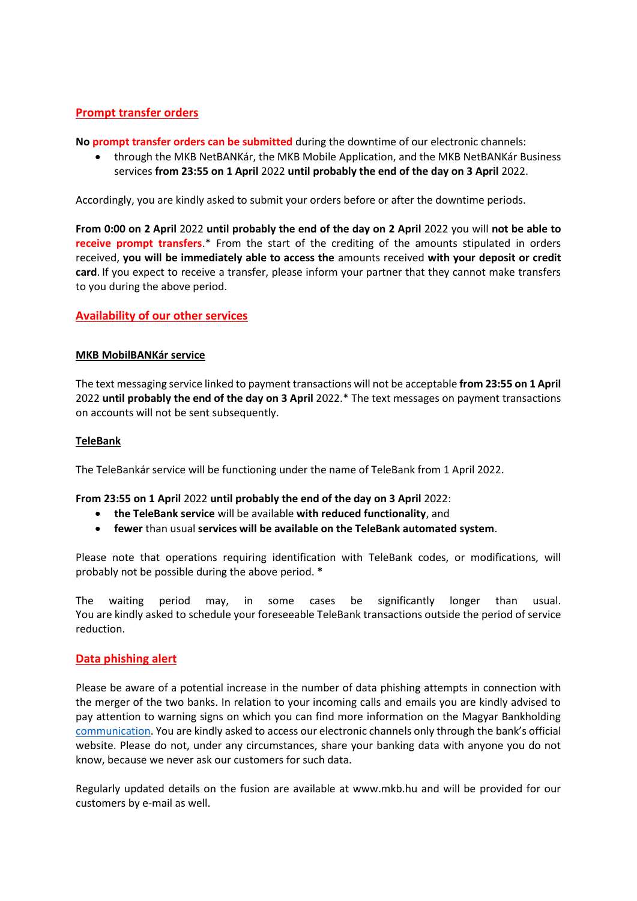## **Prompt transfer orders**

**No prompt transfer orders can be submitted** during the downtime of our electronic channels:

 through the MKB NetBANKár, the MKB Mobile Application, and the MKB NetBANKár Business services **from 23:55 on 1 April** 2022 **until probably the end of the day on 3 April** 2022.

Accordingly, you are kindly asked to submit your orders before or after the downtime periods.

**From 0:00 on 2 April** 2022 **until probably the end of the day on 2 April** 2022 you will **not be able to receive prompt transfers**.\* From the start of the crediting of the amounts stipulated in orders received, **you will be immediately able to access the** amounts received **with your deposit or credit card**. If you expect to receive a transfer, please inform your partner that they cannot make transfers to you during the above period.

## **Availability of our other services**

#### **MKB MobilBANKár service**

The text messaging service linked to payment transactions will not be acceptable **from 23:55 on 1 April**  2022 **until probably the end of the day on 3 April** 2022.\* The text messages on payment transactions on accounts will not be sent subsequently.

#### **TeleBank**

The TeleBankár service will be functioning under the name of TeleBank from 1 April 2022.

**From 23:55 on 1 April** 2022 **until probably the end of the day on 3 April** 2022:

- **the TeleBank service** will be available **with reduced functionality**, and
- **fewer** than usual **services will be available on the TeleBank automated system**.

Please note that operations requiring identification with TeleBank codes, or modifications, will probably not be possible during the above period. \*

The waiting period may, in some cases be significantly longer than usual. You are kindly asked to schedule your foreseeable TeleBank transactions outside the period of service reduction.

## **Data phishing alert**

Please be aware of a potential increase in the number of data phishing attempts in connection with the merger of the two banks. In relation to your incoming calls and emails you are kindly advised to pay attention to warning signs on which you can find more information on the Magyar Bankholding [communication](https://www.magyarbankholding.hu/hirekeskozlemenyek/2022-02-24). You are kindly asked to access our electronic channels only through the bank's official website. Please do not, under any circumstances, share your banking data with anyone you do not know, because we never ask our customers for such data.

Regularly updated details on the fusion are available at www.mkb.hu and will be provided for our customers by e-mail as well.